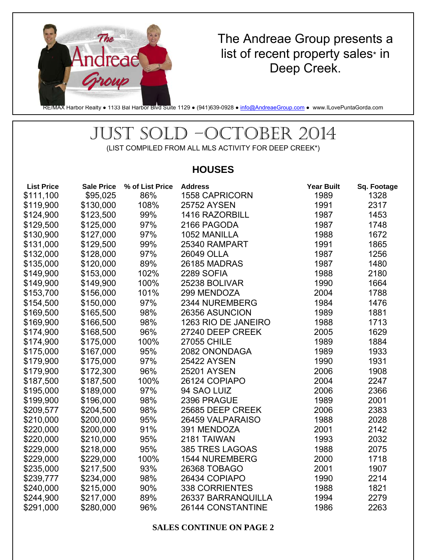

# The Andreae Group presents a list of recent property sales\* in Deep Creek.

RE/MAX Harbor Realty • 1133 Bal Harbor Blvd Suite 1129 • (941)639-0928 • info@AndreaeGroup.com • www.ILovePuntaGorda.com

# JUST SOLD –OCTOBER 2014

(LIST COMPILED FROM ALL MLS ACTIVITY FOR DEEP CREEK\*)

## **HOUSES**

| <b>List Price</b> | <b>Sale Price</b> | % of List Price | <b>Address</b>        | <b>Year Built</b> | Sq. Footage |
|-------------------|-------------------|-----------------|-----------------------|-------------------|-------------|
| \$111,100         | \$95,025          | 86%             | <b>1558 CAPRICORN</b> | 1989              | 1328        |
| \$119,900         | \$130,000         | 108%            | <b>25752 AYSEN</b>    | 1991              | 2317        |
| \$124,900         | \$123,500         | 99%             | 1416 RAZORBILL        | 1987              | 1453        |
| \$129,500         | \$125,000         | 97%             | 2166 PAGODA           | 1987              | 1748        |
| \$130,900         | \$127,000         | 97%             | 1052 MANILLA          | 1988              | 1672        |
| \$131,000         | \$129,500         | 99%             | 25340 RAMPART         | 1991              | 1865        |
| \$132,000         | \$128,000         | 97%             | 26049 OLLA            | 1987              | 1256        |
| \$135,000         | \$120,000         | 89%             | 26185 MADRAS          | 1987              | 1480        |
| \$149,900         | \$153,000         | 102%            | <b>2289 SOFIA</b>     | 1988              | 2180        |
| \$149,900         | \$149,900         | 100%            | 25238 BOLIVAR         | 1990              | 1664        |
| \$153,700         | \$156,000         | 101%            | 299 MENDOZA           | 2004              | 1788        |
| \$154,500         | \$150,000         | 97%             | 2344 NUREMBERG        | 1984              | 1476        |
| \$169,500         | \$165,500         | 98%             | 26356 ASUNCION        | 1989              | 1881        |
| \$169,900         | \$166,500         | 98%             | 1263 RIO DE JANEIRO   | 1988              | 1713        |
| \$174,900         | \$168,500         | 96%             | 27240 DEEP CREEK      | 2005              | 1629        |
| \$174,900         | \$175,000         | 100%            | <b>27055 CHILE</b>    | 1989              | 1884        |
| \$175,000         | \$167,000         | 95%             | 2082 ONONDAGA         | 1989              | 1933        |
| \$179,900         | \$175,000         | 97%             | <b>25422 AYSEN</b>    | 1990              | 1931        |
| \$179,900         | \$172,300         | 96%             | <b>25201 AYSEN</b>    | 2006              | 1908        |
| \$187,500         | \$187,500         | 100%            | 26124 COPIAPO         | 2004              | 2247        |
| \$195,000         | \$189,000         | 97%             | 94 SAO LUIZ           | 2006              | 2366        |
| \$199,900         | \$196,000         | 98%             | 2396 PRAGUE           | 1989              | 2001        |
| \$209,577         | \$204,500         | 98%             | 25685 DEEP CREEK      | 2006              | 2383        |
| \$210,000         | \$200,000         | 95%             | 26459 VALPARAISO      | 1988              | 2028        |
| \$220,000         | \$200,000         | 91%             | 391 MENDOZA           | 2001              | 2142        |
| \$220,000         | \$210,000         | 95%             | 2181 TAIWAN           | 1993              | 2032        |
| \$229,000         | \$218,000         | 95%             | 385 TRES LAGOAS       | 1988              | 2075        |
| \$229,000         | \$229,000         | 100%            | <b>1544 NUREMBERG</b> | 2000              | 1718        |
| \$235,000         | \$217,500         | 93%             | 26368 TOBAGO          | 2001              | 1907        |
| \$239,777         | \$234,000         | 98%             | 26434 COPIAPO         | 1990              | 2214        |
| \$240,000         | \$215,000         | 90%             | <b>338 CORRIENTES</b> | 1988              | 1821        |
| \$244,900         | \$217,000         | 89%             | 26337 BARRANQUILLA    | 1994              | 2279        |
| \$291,000         | \$280,000         | 96%             | 26144 CONSTANTINE     | 1986              | 2263        |

#### **SALES CONTINUE ON PAGE 2**